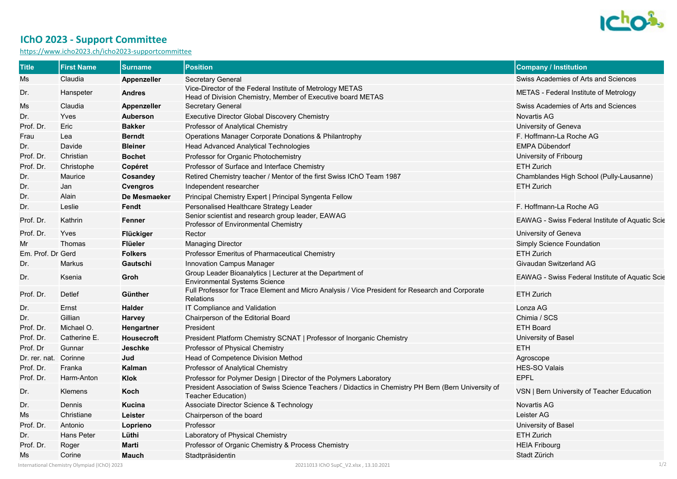

## **IChO 2023 - Support Committee**

<https://www.icho2023.ch/icho2023-supportcommittee>

| <b>Title</b>          | <b>First Name</b>                            | <b>Surname</b>     | <b>Position</b>                                                                                                            | <b>Company / Institution</b>                           |
|-----------------------|----------------------------------------------|--------------------|----------------------------------------------------------------------------------------------------------------------------|--------------------------------------------------------|
| Ms                    | Claudia                                      | Appenzeller        | <b>Secretary General</b>                                                                                                   | Swiss Academies of Arts and Sciences                   |
| Dr.                   | Hanspeter                                    | <b>Andres</b>      | Vice-Director of the Federal Institute of Metrology METAS<br>Head of Division Chemistry, Member of Executive board METAS   | METAS - Federal Institute of Metrology                 |
| Ms                    | Claudia                                      | <b>Appenzeller</b> | <b>Secretary General</b>                                                                                                   | Swiss Academies of Arts and Sciences                   |
| Dr.                   | Yves                                         | <b>Auberson</b>    | Executive Director Global Discovery Chemistry                                                                              | <b>Novartis AG</b>                                     |
| Prof. Dr.             | Eric                                         | <b>Bakker</b>      | Professor of Analytical Chemistry                                                                                          | University of Geneva                                   |
| Frau                  | Lea                                          | <b>Berndt</b>      | Operations Manager Corporate Donations & Philantrophy                                                                      | F. Hoffmann-La Roche AG                                |
| Dr.                   | Davide                                       | <b>Bleiner</b>     | Head Advanced Analytical Technologies                                                                                      | <b>EMPA Dübendorf</b>                                  |
| Prof. Dr.             | Christian                                    | <b>Bochet</b>      | Professor for Organic Photochemistry                                                                                       | University of Fribourg                                 |
| Prof. Dr.             | Christophe                                   | Copéret            | Professor of Surface and Interface Chemistry                                                                               | <b>ETH Zurich</b>                                      |
| Dr.                   | Maurice                                      | <b>Cosandey</b>    | Retired Chemistry teacher / Mentor of the first Swiss IChO Team 1987                                                       | Chamblandes High School (Pully-Lausanne)               |
| Dr.                   | Jan                                          | <b>Cvengros</b>    | Independent researcher                                                                                                     | <b>ETH Zurich</b>                                      |
| Dr.                   | Alain                                        | De Mesmaeker       | Principal Chemistry Expert   Principal Syngenta Fellow                                                                     |                                                        |
| Dr.                   | Leslie                                       | Fendt              | Personalised Healthcare Strategy Leader                                                                                    | F. Hoffmann-La Roche AG                                |
| Prof. Dr.             | Kathrin                                      | Fenner             | Senior scientist and research group leader, EAWAG<br>Professor of Environmental Chemistry                                  | <b>EAWAG</b> - Swiss Federal Institute of Aquatic Scie |
| Prof. Dr.             | Yves                                         | Flückiger          | Rector                                                                                                                     | University of Geneva                                   |
| Mr                    | Thomas                                       | <b>Flüeler</b>     | <b>Managing Director</b>                                                                                                   | <b>Simply Science Foundation</b>                       |
| Em. Prof. Dr. Gerd    |                                              | <b>Folkers</b>     | Professor Emeritus of Pharmaceutical Chemistry                                                                             | <b>ETH Zurich</b>                                      |
| Dr.                   | Markus                                       | Gautschi           | Innovation Campus Manager                                                                                                  | Givaudan Switzerland AG                                |
| Dr.                   | Ksenia                                       | Groh               | Group Leader Bioanalytics   Lecturer at the Department of<br><b>Environmental Systems Science</b>                          | EAWAG - Swiss Federal Institute of Aquatic Scie        |
| Prof. Dr.             | Detlef                                       | Günther            | Full Professor for Trace Element and Micro Analysis / Vice President for Research and Corporate<br><b>Relations</b>        | <b>ETH Zurich</b>                                      |
| Dr.                   | Ernst                                        | <b>Halder</b>      | IT Compliance and Validation                                                                                               | Lonza AG                                               |
| Dr.                   | Gillian                                      | <b>Harvey</b>      | Chairperson of the Editorial Board                                                                                         | Chimia / SCS                                           |
| Prof. Dr.             | Michael O.                                   | Hengartner         | President                                                                                                                  | <b>ETH Board</b>                                       |
| Prof. Dr.             | Catherine E.                                 | <b>Housecroft</b>  | President Platform Chemistry SCNAT   Professor of Inorganic Chemistry                                                      | University of Basel                                    |
| Prof. Dr              | Gunnar                                       | <b>Jeschke</b>     | Professor of Physical Chemistry                                                                                            | <b>ETH</b>                                             |
| Dr. rer. nat. Corinne |                                              | Jud                | Head of Competence Division Method                                                                                         | Agroscope                                              |
| Prof. Dr.             | Franka                                       | Kalman             | Professor of Analytical Chemistry                                                                                          | <b>HES-SO Valais</b>                                   |
| Prof. Dr.             | Harm-Anton                                   | <b>Klok</b>        | Professor for Polymer Design   Director of the Polymers Laboratory                                                         | <b>EPFL</b>                                            |
| Dr.                   | Klemens                                      | Koch               | President Association of Swiss Science Teachers / Didactics in Chemistry PH Bern (Bern University of<br>Teacher Education) | VSN   Bern University of Teacher Education             |
| Dr.                   | Dennis                                       | <b>Kucina</b>      | Associate Director Science & Technology                                                                                    | <b>Novartis AG</b>                                     |
| Ms                    | Christiane                                   | Leister            | Chairperson of the board                                                                                                   | Leister AG                                             |
| Prof. Dr.             | Antonio                                      | Loprieno           | Professor                                                                                                                  | University of Basel                                    |
| Dr.                   | <b>Hans Peter</b>                            | Lüthi              | Laboratory of Physical Chemistry                                                                                           | <b>ETH Zurich</b>                                      |
| Prof. Dr.             | Roger                                        | <b>Marti</b>       | Professor of Organic Chemistry & Process Chemistry                                                                         | <b>HEIA Fribourg</b>                                   |
| Ms                    | Corine                                       | <b>Mauch</b>       | Stadtpräsidentin                                                                                                           | Stadt Zürich                                           |
|                       | International Chemistry Olympiad (IChO) 2023 |                    | 20211013 IChO SupC V2.xlsx, 13.10.2021                                                                                     | 1/2                                                    |